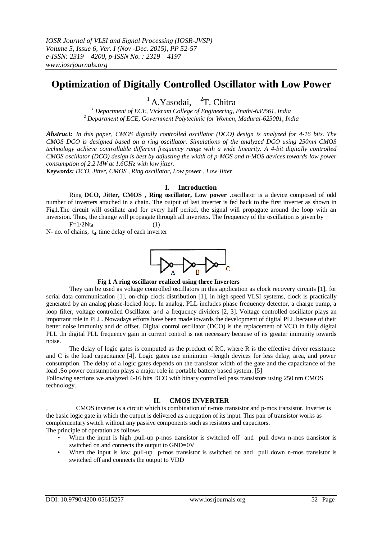# **Optimization of Digitally Controlled Oscillator with Low Power**

 $1$ A.Yasodai,  $2$ T. Chitra

*<sup>1</sup> Department of ECE, Vickram College of Engineering, Enathi-630561, India <sup>2</sup> Department of ECE, Government Polytechnic for Women, Madurai-625001, India*

*Abstract: In this paper, CMOS digitally controlled oscillator (DCO) design is analyzed for 4-16 bits. The CMOS DCO is designed based on a ring oscillator. Simulations of the analyzed DCO using 250nm CMOS technology achieve controllable different frequency range with a wide linearity. A 4-bit digitally controlled CMOS oscillator (DCO) design is best by adjusting the width of p-MOS and n-MOS devices towards low power consumption of 2.2 MW at 1.6GHz with low jitter.*

*Keywords: DCO, Jitter, CMOS , Ring oscillator, Low power , Low Jitter*

## **I. Introduction**

Ring **DCO, Jitter, CMOS , Ring oscillator, Low power .**oscillator is a device composed of odd number of inverters attached in a chain. The output of last inverter is fed back to the first inverter as shown in Fig1.The circuit will oscillate and for every half period, the signal will propagate around the loop with an inversion. Thus, the change will propagate through all inverters. The frequency of the oscillation is given by  $F=1/2Nt_d$  (1)

 $N-$  no. of chains,  $t_d$  time delay of each inverter



#### **Fig 1 A ring oscillator realized using three Inverters**

They can be used as voltage controlled oscillators in this application as clock recovery circuits [1], for serial data communication [1], on-chip clock distribution [1], in high-speed VLSI systems, clock is practically generated by an analog phase-locked loop. In analog, PLL includes phase frequency detector, a charge pump, a loop filter, voltage controlled Oscillator and a frequency dividers [2, 3]. Voltage controlled oscillator plays an important role in PLL. Nowadays efforts have been made towards the development of digital PLL because of their better noise immunity and dc offset. Digital control oscillator (DCO) is the replacement of VCO in fully digital PLL .In digital PLL frequency gain in current control is not necessary because of its greater immunity towards noise.

The delay of logic gates is computed as the product of RC, where R is the effective driver resistance and C is the load capacitance [4]. Logic gates use minimum –length devices for less delay, area, and power consumption. The delay of a logic gates depends on the transistor width of the gate and the capacitance of the load .So power consumption plays a major role in portable battery based system. [5]

Following sections we analyzed 4-16 bits DCO with binary controlled pass transistors using 250 nm CMOS technology.

# **II**. **CMOS INVERTER**

. CMOS inverter is a circuit which is combination of n-mos transistor and p-mos transistor. Inverter is the basic logic gate in which the output is delivered as a negation of its input. This pair of transistor works as complementary switch without any passive components such as resistors and capacitors. The principle of operation as follows

- When the input is high ,pull-up p-mos transistor is switched off and pull down n-mos transistor is switched on and connects the output to GND=0V
- When the input is low ,pull-up p-mos transistor is switched on and pull down n-mos transistor is switched off and connects the output to VDD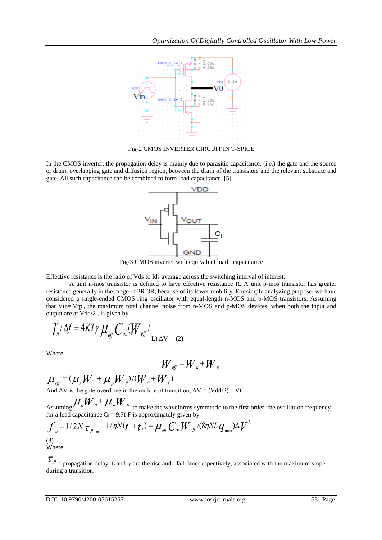

Fig-2 CMOS INVERTER CIRCUIT IN T-SPICE

In the CMOS inverter, the propagation delay is mainly due to parasitic capacitance. (i.e.) the gate and the source or drain, overlapping gate and diffusion region, between the drain of the transistors and the relevant substrate and gate. All such capacitance can be combined to form load capacitance. [5]



Fig-3 CMOS inverter with equivalent load capacitance

Effective resistance is the ratio of Vds to Ids average across the switching interval of interest.

A unit n-mos transistor is defined to have effective resistance R. A unit p-mos transistor has greater resistance generally in the range of 2R-3R, because of its lower mobility. For simple analyzing purpose, we have considered a single-ended CMOS ring oscillator with equal-length n-MOS and p-MOS transistors. Assuming that Vtn=|Vtp|, the maximum total channel noise from n-MOS and p-MOS devices, when both the input and output are at Vdd/2 , is given by

$$
\int_{n}^{2} \Delta f = 4KT\gamma \mu_{\text{eff}} C_{\text{ox}} (W_{\text{eff}} / L_{\text{L}}) \Delta V \quad (2)
$$

Where

$$
W_{\text{eff}} = W_{n} + W_{p}
$$

 $\mu_{\text{eff}} = (\mu_n W_n + \mu_p W_p) / (W_n + W_p)$ <br>And  $\Delta V$  is the gate overdrive in the middle of transition,  $\Delta V = (Vdd/2) - Vt$ 

Assuming  $\sum_{n=1}^{\infty}$   $\sum_{n=1}^{\infty}$   $\sum_{n=1}^{\infty}$  to make the waveforms symmetric to the first order, the oscillation frequency for a load capacitance  $C_{L} = 9.7f$  F is approximately given by

$$
\int_{\sigma} = 1/2N \tau_{p} = 1/\eta N(t_r + t_f) = \mu_{\text{eff}} C_{\text{ox}} W_{\text{eff}}/(8\eta NL q_{\text{max}})\Delta V^2
$$
\n(3)

\nWhere

 $\tau_{p}$  = propagation delay, t<sub>r</sub> and t<sub>f</sub> are the rise and fall time respectively, associated with the maximum slope during a transition.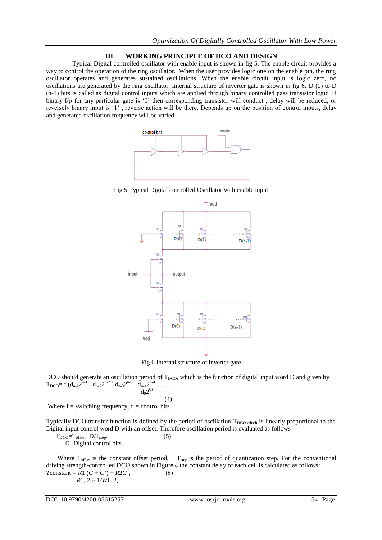# **III. WORKING PRINCIPLE OF DCO AND DESIGN**

 Typical Digital controlled oscillator with enable input is shown in fig 5. The enable circuit provides a way to control the operation of the ring oscillator. When the user provides logic one on the enable pin, the ring oscillator operates and generates sustained oscillations. When the enable circuit input is logic zero, no oscillations are generated by the ring oscillator. Internal structure of inverter gate is shown in fig 6. D (0) to D (n-1) bits is called as digital control inputs which are applied through binary controlled pass transistor logic. If binary I/p for any particular gate is '0' then corresponding transistor will conduct, delay will be reduced, or reversely binary input is "1" , reverse action will be there. Depends up on the position of control inputs, delay and generated oscillation frequency will be varied.



Fig 5 Typical Digital controlled Oscillator with enable input



Fig 6 Internal structure of inverter gate

DCO should generate an oscillation period of  $T_{DCO}$ , which is the function of digital input word D and given by  $T_{DCO} = f (d_{n-1} 2^{n-1} + d_{n-2} 2^{n-2} + d_{n-3} 2^{n-3} + d_{n-4} 2^{n-4} + \cdots +$  $d_0 2^{0)}$ 

$$
\mathbf{d}_0 \mathbf{2} \tag{4}
$$

Where  $f =$  switching frequency,  $d =$  control bits

Typically DCO transfer function is defined by the period of oscillation  $T_{DCO}$  which is linearly proportional to the Digital input control word D with an offset. Therefore oscillation period is evaluated as follows

 $T_{DCO} = T_{offset} + D.T_{step}.$  (5)

D- Digital control bits

Where  $T_{\text{offset}}$  is the constant offset period,  $T_{\text{step}}$  is the period of quantization step. For the conventional driving strength-controlled DCO shown in Figure 4 the constant delay of each cell is calculated as follows: *T*constant =  $R1 (C + C') + R2C'$ , (6)  *R*1, 2 α 1*/W*1, 2,

DOI: 10.9790/4200-05615257 www.iosrjournals.org 54 | Page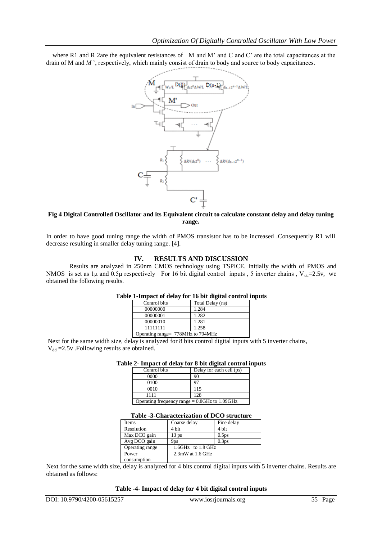where R1 and R 2are the equivalent resistances of M and M' and C and C' are the total capacitances at the drain of M and M', respectively, which mainly consist of drain to body and source to body capacitances.



## **Fig 4 Digital Controlled Oscillator and its Equivalent circuit to calculate constant delay and delay tuning range.**

In order to have good tuning range the width of PMOS transistor has to be increased .Consequently R1 will decrease resulting in smaller delay tuning range. [4].

# **IV. RESULTS AND DISCUSSION**

Results are analyzed in 250nm CMOS technology using TSPICE. Initially the width of PMOS and NMOS is set as 1µ and 0.5µ respectively For 16 bit digital control inputs , 5 inverter chains ,  $V_{dd}=2.5v$ , we obtained the following results.

| Table 1-Impact of delay for 16 bit digital control inputs |  |  |  |
|-----------------------------------------------------------|--|--|--|
|                                                           |  |  |  |

| Control bits | Total Delay (ns)                  |
|--------------|-----------------------------------|
| 00000000     | 1.284                             |
| 00000001     | 1.282                             |
| 00000010     | 1.281                             |
| 11111111     | 1.258                             |
|              | Operating range= 778MHz to 794MHz |

Next for the same width size, delay is analyzed for 8 bits control digital inputs with 5 inverter chains,  $V_{dd} = 2.5v$ . Following results are obtained.

## **Table 2- Impact of delay for 8 bit digital control inputs**

| Control bits | Delay for each cell (ps)                         |
|--------------|--------------------------------------------------|
| 0000         | 90                                               |
| 0100         |                                                  |
| 0010         | 115                                              |
| 1111         | 128                                              |
|              | Operating frequency range $= 0.8$ GHz to 1.09GHz |

#### **Table -3-Characterization of DCO structure**

| Items           | Coarse delay        | Fine delay        |
|-----------------|---------------------|-------------------|
| Resolution      | 4 bit               | 4 bit             |
| Max DCO gain    | 13 <sub>ps</sub>    | 0.5 <sub>ps</sub> |
| Avg DCO gain    | 9 <sub>ps</sub>     | 0.3 <sub>ps</sub> |
| Operating range | 1.6GHz to 1.8 GHz   |                   |
| Power           | $2.3$ mW at 1.6 GHz |                   |
| consumption     |                     |                   |

Next for the same width size, delay is analyzed for 4 bits control digital inputs with 5 inverter chains. Results are obtained as follows:

#### **Table -4**- **Impact of delay for 4 bit digital control inputs**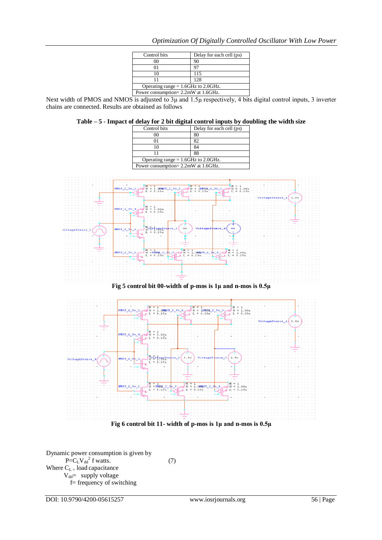| Control bits                           | Delay for each cell (ps) |
|----------------------------------------|--------------------------|
|                                        | 90                       |
|                                        | 97                       |
| 10                                     | 115                      |
|                                        | 128                      |
| Operating range $= 1.6$ GHz to 2.0GHz. |                          |
| Power consumption= 2.2mW at 1.6GHz.    |                          |

Next width of PMOS and NMOS is adjusted to 3μ and 1.5μ respectively, 4 bits digital control inputs, 3 inverter chains are connected. Results are obtained as follows

| Control bits                           | Delay for each cell (ps) |
|----------------------------------------|--------------------------|
|                                        |                          |
|                                        | 80                       |
|                                        |                          |
|                                        | 88                       |
| Operating range $= 1.6$ GHz to 2.0GHz. |                          |
| Power consumption= 2.2mW at 1.6GHz.    |                          |





Dynamic power consumption is given by  $P=C_LV_{dd}^2$  f watts. (7) Where  $C_{L}$  = load capacitance  $V_{dd}=$  supply voltage f= frequency of switching